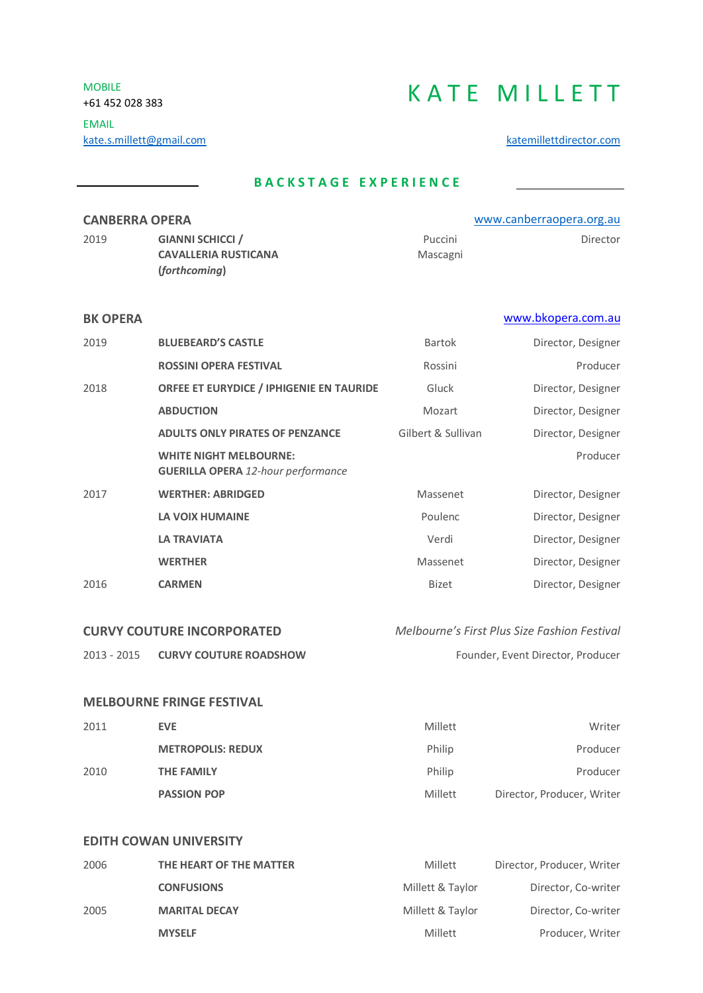MOBILE

# MOBILE +61 452 028 383 KATE MILLETT

EMAIL kate.s.millett@gmail.com [katemillettdirector.com](http://www.katemillettdirector.com/)

## **B A C K S T A G E E X P E R I E N C E**

| <b>CANBERRA OPERA</b> |                             |          | www.canberraopera.org.au |
|-----------------------|-----------------------------|----------|--------------------------|
| 2019                  | <b>GIANNI SCHICCI</b> /     | Puccini  | Director                 |
|                       | <b>CAVALLERIA RUSTICANA</b> | Mascagni |                          |
|                       | (forthcoming)               |          |                          |

### **BK OPERA** [www.bkopera.com.au](http://www.bkopera.com.au/)

| 2019 | <b>BLUEBEARD'S CASTLE</b>                                                  | <b>Bartok</b>      | Director, Designer |
|------|----------------------------------------------------------------------------|--------------------|--------------------|
|      | <b>ROSSINI OPERA FESTIVAL</b>                                              | Rossini            | Producer           |
| 2018 | <b>ORFEE ET EURYDICE / IPHIGENIE EN TAURIDE</b>                            | Gluck              | Director, Designer |
|      | <b>ABDUCTION</b>                                                           | Mozart             | Director, Designer |
|      | <b>ADULTS ONLY PIRATES OF PENZANCE</b>                                     | Gilbert & Sullivan | Director, Designer |
|      | <b>WHITE NIGHT MELBOURNE:</b><br><b>GUERILLA OPERA 12-hour performance</b> |                    | Producer           |
| 2017 | <b>WERTHER: ABRIDGED</b>                                                   | Massenet           | Director, Designer |
|      | LA VOIX HUMAINE                                                            | Poulenc            | Director, Designer |
|      | <b>LA TRAVIATA</b>                                                         | Verdi              | Director, Designer |
|      | <b>WERTHER</b>                                                             | Massenet           | Director, Designer |
| 2016 | <b>CARMEN</b>                                                              | <b>Bizet</b>       | Director, Designer |
|      |                                                                            |                    |                    |

# **CURVY COUTURE INCORPORATED** *Melbourne's First Plus Size Fashion Festival*

2013 - 2015 **CURVY COUTURE ROADSHOW** Founder, Event Director, Producer

### **MELBOURNE FRINGE FESTIVAL**

| 2011 | EVE.                     | Millett | Writer                     |
|------|--------------------------|---------|----------------------------|
|      | <b>METROPOLIS: REDUX</b> | Philip  | Producer                   |
| 2010 | THE FAMILY               | Philip  | Producer                   |
|      | <b>PASSION POP</b>       | Millett | Director, Producer, Writer |

### **EDITH COWAN UNIVERSITY**

| 2006 | THE HEART OF THE MATTER | Millett          | Director, Producer, Writer |
|------|-------------------------|------------------|----------------------------|
|      | <b>CONFUSIONS</b>       | Millett & Taylor | Director, Co-writer        |
| 2005 | <b>MARITAL DECAY</b>    | Millett & Taylor | Director, Co-writer        |
|      | <b>MYSELF</b>           | Millett          | Producer, Writer           |